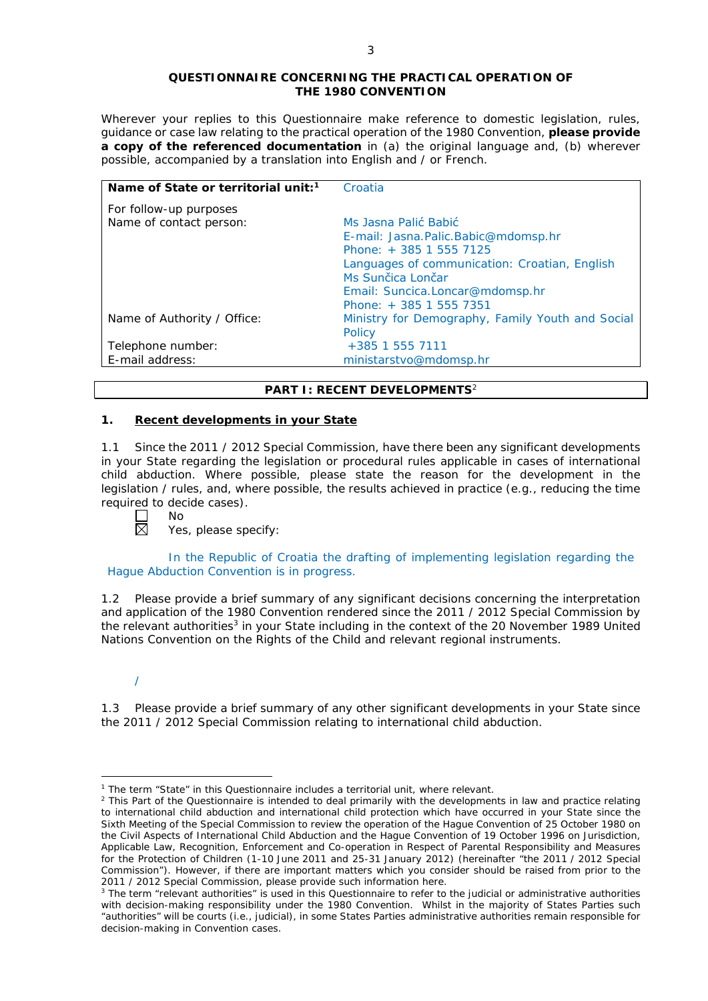#### **QUESTIONNAIRE CONCERNING THE PRACTICAL OPERATION OF THE 1980 CONVENTION**

*Wherever your replies to this Questionnaire make reference to domestic legislation, rules, guidance or case law relating to the practical operation of the 1980 Convention, please provide a copy of the referenced documentation in (a) the original language and, (b) wherever possible, accompanied by a translation into English and / or French.* 

| Name of State or territorial unit: <sup>1</sup> | Croatia                                          |
|-------------------------------------------------|--------------------------------------------------|
| For follow-up purposes                          |                                                  |
| Name of contact person:                         | Ms Jasna Palić Babić                             |
|                                                 | E-mail: Jasna.Palic.Babic@mdomsp.hr              |
|                                                 | Phone: + 385 1 555 7125                          |
|                                                 | Languages of communication: Croatian, English    |
|                                                 | Ms Sunčica Lončar                                |
|                                                 | Email: Suncica.Loncar@mdomsp.hr                  |
|                                                 | Phone: + 385 1 555 7351                          |
| Name of Authority / Office:                     | Ministry for Demography, Family Youth and Social |
|                                                 | Policy                                           |
| Telephone number:                               | +385 1 555 7111                                  |
| E-mail address:                                 | ministarstvo@mdomsp.hr                           |

## **PART I: RECENT DEVELOPMENTS**<sup>2</sup>

## **1. Recent developments in your State**

1.1 Since the 2011 / 2012 Special Commission, have there been any significant developments in your State regarding the legislation or procedural rules applicable in cases of international child abduction. Where possible, please state the reason for the development in the legislation / rules, and, where possible, the results achieved in practice (*e.g.*, reducing the time required to decide cases).

 $\overline{\boxtimes}$ 

No

Yes, please specify:

In the Republic of Croatia the drafting of implementing legislation regarding the Hague Abduction Convention is in progress.

1.2 Please provide a brief summary of any significant decisions concerning the interpretation and application of the 1980 Convention rendered since the 2011 / 2012 Special Commission by the relevant authorities<sup>3</sup> in your State including in the context of the 20 November 1989 United Nations Convention on the Rights of the Child and relevant regional instruments.

<u>.</u>

1.3 Please provide a brief summary of any other significant developments in your State since the 2011 / 2012 Special Commission relating to international child abduction.

<sup>/</sup>

<sup>&</sup>lt;sup>1</sup> The term "State" in this Questionnaire includes a territorial unit, where relevant.

 $<sup>2</sup>$  This Part of the Questionnaire is intended to deal primarily with the developments in law and practice relating</sup> to international child abduction and international child protection which have occurred in your State since the Sixth Meeting of the Special Commission to review the operation of the *Hague Convention of 25 October 1980 on the Civil Aspects of International Child Abduction* and the *Hague Convention of 19 October 1996 on Jurisdiction, Applicable Law, Recognition, Enforcement and Co-operation in Respect of Parental Responsibility and Measures for the Protection of Children* (1-10 June 2011 and 25-31 January 2012) (hereinafter "the 2011 / 2012 Special Commission"). However, if there are important matters which you consider should be raised from *prior to* the 2011 / 2012 Special Commission, please provide such information here.

<sup>&</sup>lt;sup>3</sup> The term "relevant authorities" is used in this Questionnaire to refer to the judicial or administrative authorities with decision-making responsibility under the 1980 Convention. Whilst in the majority of States Parties such "authorities" will be courts (*i.e.*, judicial), in some States Parties administrative authorities remain responsible for decision-making in Convention cases.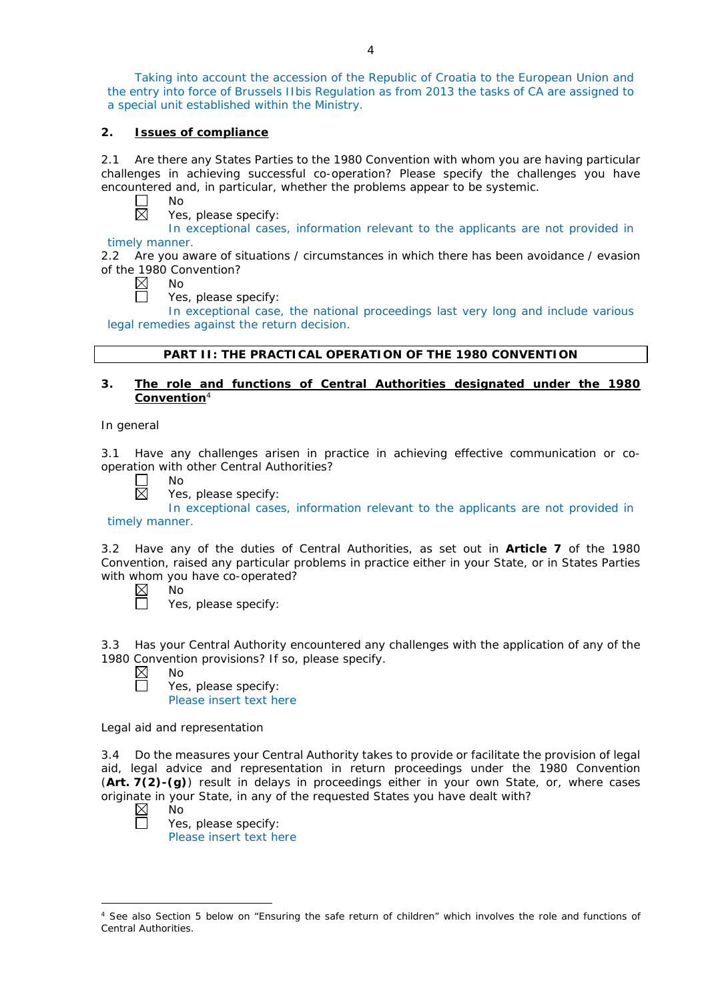Taking into account the accession of the Republic of Croatia to the European Union and the entry into force of Brussels IIbis Regulation as from 2013 the tasks of CA are assigned to a special unit established within the Ministry.

## **2. Issues of compliance**

2.1 Are there any States Parties to the 1980 Convention with whom you are having particular challenges in achieving successful co-operation? Please specify the challenges you have encountered and, in particular, whether the problems appear to be systemic.

 $\Box$ No  $\boxtimes$ 

Yes, please specify:

In exceptional cases, information relevant to the applicants are not provided in timely manner.

2.2 Are you aware of situations / circumstances in which there has been avoidance / evasion of the 1980 Convention?

 $\boxtimes$ No

Yes, please specify:

In exceptional case, the national proceedings last very long and include various legal remedies against the return decision.

## **PART II: THE PRACTICAL OPERATION OF THE 1980 CONVENTION**

## **3. The role and functions of Central Authorities designated under the 1980 Convention**<sup>4</sup>

*In general*

3.1 Have any challenges arisen in practice in achieving effective communication or cooperation with other Central Authorities?

- No  $\boxtimes$ 
	- Yes, please specify:

In exceptional cases, information relevant to the applicants are not provided in timely manner.

3.2 Have any of the duties of Central Authorities, as set out in **Article 7** of the 1980 Convention, raised any particular problems in practice either in your State, or in States Parties with whom you have co-operated?

| חוי |
|-----|
| Y   |

Yes, please specify:

3.3 Has your Central Authority encountered any challenges with the application of any of the 1980 Convention provisions? If so, please specify.<br>  $\boxtimes$  No

No

П

Yes, please specify: Please insert text here

*Legal aid and representation*

3.4 Do the measures your Central Authority takes to provide or facilitate the provision of legal aid, legal advice and representation in return proceedings under the 1980 Convention (**Art. 7(2)-(g)**) result in delays in proceedings either in your own State, or, where cases originate in your State, in any of the requested States you have dealt with?

 $\boxtimes$ 

No Yes, please specify: Please insert text here

<sup>-</sup>See also Section 5 below on "Ensuring the safe return of children" which involves the role and functions of Central Authorities.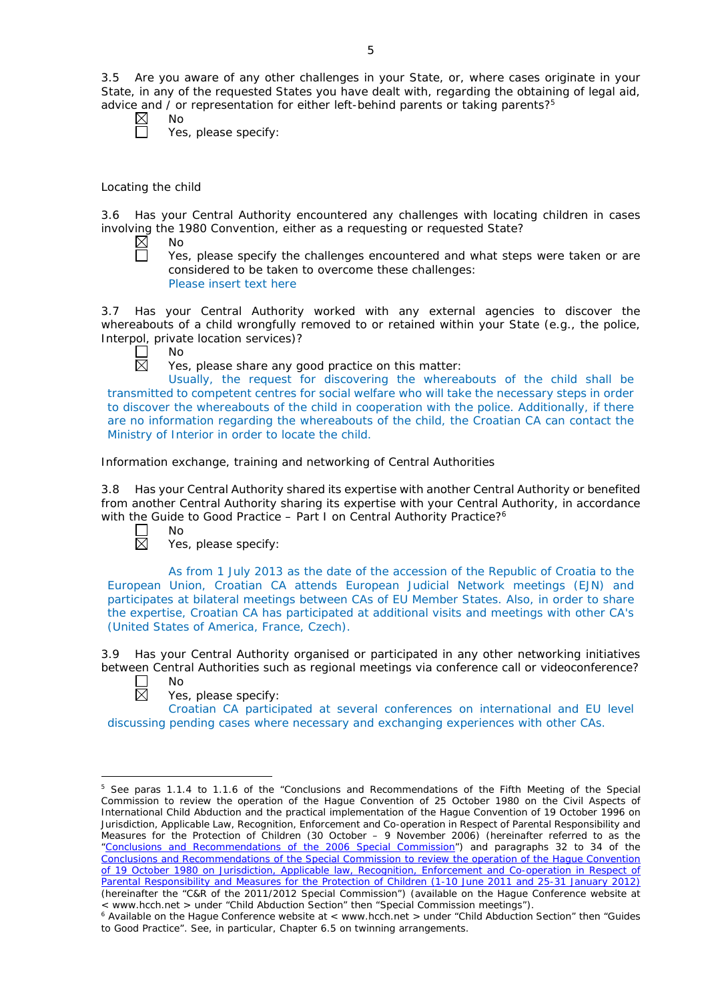3.5 Are you aware of any other challenges in your State, or, where cases originate in your State, in any of the requested States you have dealt with, regarding the obtaining of legal aid, advice and / or representation for either left-behind parents or taking parents?<sup>5</sup>

No

No

Yes, please specify:

# *Locating the child*

3.6 Has your Central Authority encountered any challenges with locating children in cases involving the 1980 Convention, either as a requesting or requested State?<br>  $\boxtimes$  No

 $\Box$ 

Yes, please specify the challenges encountered and what steps were taken or are considered to be taken to overcome these challenges: Please insert text here

3.7 Has your Central Authority worked with any external agencies to discover the whereabouts of a child wrongfully removed to or retained within your State (*e.g.*, the police, Interpol, private location services)?



Yes, please share any good practice on this matter:

Usually, the request for discovering the whereabouts of the child shall be transmitted to competent centres for social welfare who will take the necessary steps in order to discover the whereabouts of the child in cooperation with the police. Additionally, if there are no information regarding the whereabouts of the child, the Croatian CA can contact the Ministry of Interior in order to locate the child.

## *Information exchange, training and networking of Central Authorities*

3.8 Has your Central Authority shared its expertise with another Central Authority or benefited from another Central Authority sharing its expertise with your Central Authority, in accordance with the Guide to Good Practice – Part I on Central Authority Practice?<sup>6</sup>



Yes, please specify:

As from 1 July 2013 as the date of the accession of the Republic of Croatia to the European Union, Croatian CA attends European Judicial Network meetings (EJN) and participates at bilateral meetings between CAs of EU Member States. Also, in order to share the expertise, Croatian CA has participated at additional visits and meetings with other CA's (United States of America, France, Czech).

3.9 Has your Central Authority organised or participated in any other networking initiatives between Central Authorities such as regional meetings via conference call or videoconference? No



<u>.</u>

Yes, please specify:

Croatian CA participated at several conferences on international and EU level discussing pending cases where necessary and exchanging experiences with other CAs.

<sup>5</sup> See paras 1.1.4 to 1.1.6 of the "Conclusions and Recommendations of the Fifth Meeting of the Special Commission to review the operation of the *Hague Convention of 25 October 1980 on the Civil Aspects of International Child Abduction* and the practical implementation of the *Hague Convention of 19 October 1996 on Jurisdiction, Applicable Law, Recognition, Enforcement and Co-operation in Respect of Parental Responsibility and Measures for the Protection of Children* (30 October – 9 November 2006) (hereinafter referred to as the ["Conclusions and Recommendations of the 2006 Special Commission"](https://assets.hcch.net/upload/concl28sc5_e.pdf)) and paragraphs 32 to 34 of the [Conclusions and Recommendations of the Special Commission](https://assets.hcch.net/upload/wop/concl28sc6_e.pdf) to review the operation of the Hague Convention of *[19 October 1980 on Jurisdiction, Applicable law, Recognition, Enforcement and Co-operation in Respect of](https://assets.hcch.net/upload/wop/concl28sc6_e.pdf)  [Parental Responsibility and Measures for the Protection of Children](https://assets.hcch.net/upload/wop/concl28sc6_e.pdf)* (1-10 June 2011 and 25-31 January 2012) (hereinafter the "C&R of the 2011/2012 Special Commission") (available on the Hague Conference website at

<sup>&</sup>lt; www.hcch.net > under "Child Abduction Section" then "Special Commission meetings"). 6 Available on the Hague Conference website at < www.hcch.net > under "Child Abduction Section" then "Guides to Good Practice". See, in particular, Chapter 6.5 on twinning arrangements.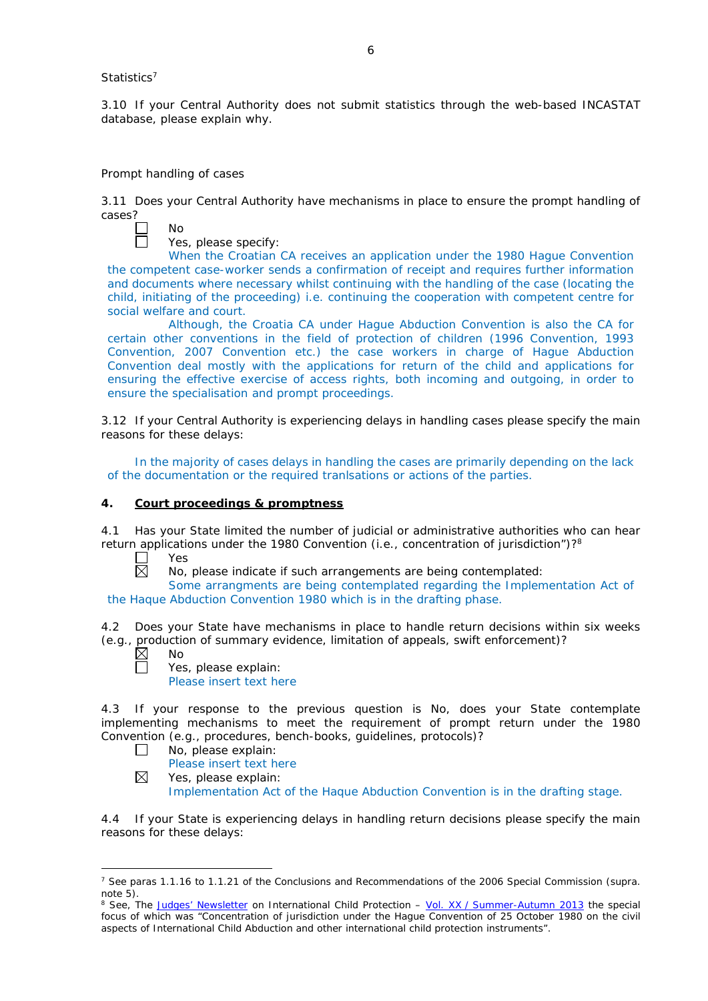## *Statistics*<sup>7</sup>

3.10 If your Central Authority does not submit statistics through the web-based INCASTAT database, please explain why.

#### *Prompt handling of cases*

No

3.11 Does your Central Authority have mechanisms in place to ensure the prompt handling of cases?

Yes, please specify:

When the Croatian CA receives an application under the 1980 Hague Convention the competent case-worker sends a confirmation of receipt and requires further information and documents where necessary whilst continuing with the handling of the case (locating the child, initiating of the proceeding) i.e. continuing the cooperation with competent centre for social welfare and court.

Although, the Croatia CA under Hague Abduction Convention is also the CA for certain other conventions in the field of protection of children (1996 Convention, 1993 Convention, 2007 Convention etc.) the case workers in charge of Hague Abduction Convention deal mostly with the applications for return of the child and applications for ensuring the effective exercise of access rights, both incoming and outgoing, in order to ensure the specialisation and prompt proceedings.

3.12 If your Central Authority is experiencing delays in handling cases please specify the main reasons for these delays:

In the majority of cases delays in handling the cases are primarily depending on the lack of the documentation or the required tranlsations or actions of the parties.

#### **4. Court proceedings & promptness**

4.1 Has your State limited the number of judicial or administrative authorities who can hear return applications under the 1980 Convention (*i.e.*, concentration of jurisdiction")?8

Г Yes  $\boxtimes$ 

No, please indicate if such arrangements are being contemplated:

Some arrangments are being contemplated regarding the Implementation Act of the Haque Abduction Convention 1980 which is in the drafting phase.

4.2 Does your State have mechanisms in place to handle return decisions within six weeks (*e.g.*, production of summary evidence, limitation of appeals, swift enforcement)?

 $\boxtimes$ No

П

-

Yes, please explain:

Please insert text here

4.3 If your response to the previous question is No, does your State contemplate implementing mechanisms to meet the requirement of prompt return under the 1980 Convention (*e.g.*, procedures, bench-books, guidelines, protocols)?

- $\Box$ No, please explain:
	- Please insert text here
- $\boxtimes$ Yes, please explain:

Implementation Act of the Haque Abduction Convention is in the drafting stage.

4.4 If your State is experiencing delays in handling return decisions please specify the main reasons for these delays:

<sup>7</sup> See paras 1.1.16 to 1.1.21 of the Conclusions and Recommendations of the 2006 Special Commission (*supra.*  note 5).

<sup>8</sup> See, *The [Judges' Newsletter](https://www.hcch.net/en/instruments/conventions/publications2/judges-newsletter)* on International Child Protection – Vol. XX / [Summer-Autumn 2013](https://assets.hcch.net/upload/newsletter/nl2013tome20en.pdf) the special focus of which was "Concentration of jurisdiction under the *Hague Convention of 25 October 1980 on the civil aspects of International Child Abduction* and other international child protection instruments".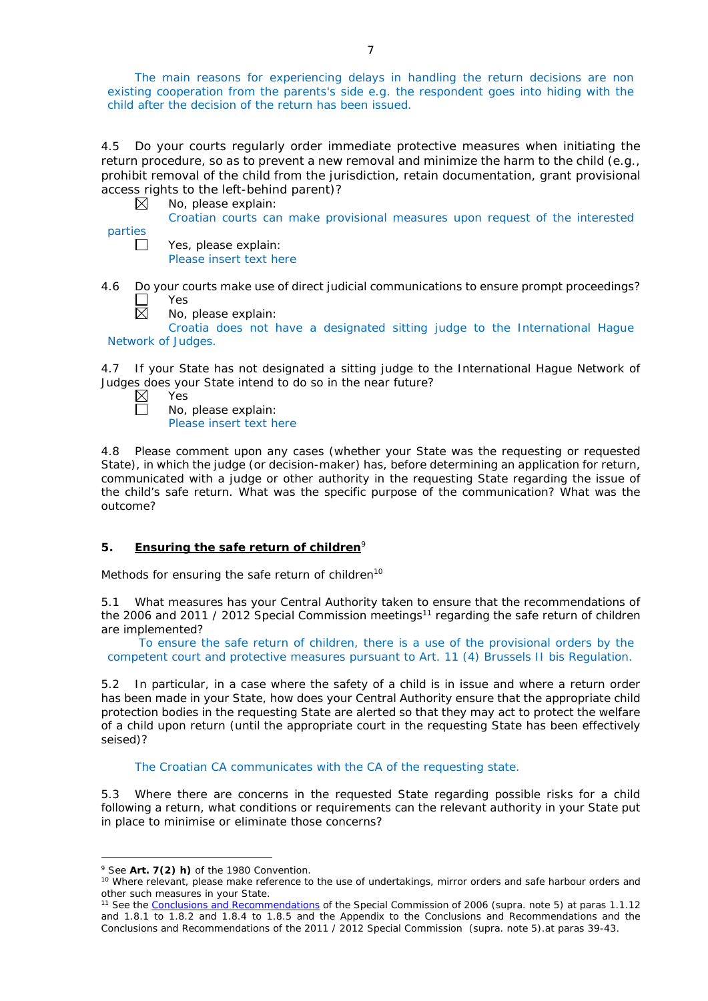The main reasons for experiencing delays in handling the return decisions are non existing cooperation from the parents's side e.g. the respondent goes into hiding with the child after the decision of the return has been issued.

4.5 Do your courts regularly order immediate protective measures when initiating the return procedure, so as to prevent a new removal and minimize the harm to the child (*e.g.*, prohibit removal of the child from the jurisdiction, retain documentation, grant provisional access rights to the left-behind parent)?

|                | No, please explain:                                                          |
|----------------|------------------------------------------------------------------------------|
|                | Croatian courts can make provisional measures upon request of the interested |
| <b>parties</b> |                                                                              |
|                | Yes, please explain:                                                         |
|                | Please insert text here                                                      |

4.6 Do your courts make use of direct judicial communications to ensure prompt proceedings? Yes 反

No, please explain:

Croatia does not have a designated sitting judge to the International Hague Network of Judges.

4.7 If your State has not designated a sitting judge to the International Hague Network of Judges does your State intend to do so in the near future?

 $\boxtimes$ Yes Г No, please explain:

Please insert text here

4.8 Please comment upon any cases (whether your State was the requesting or requested State), in which the judge (or decision-maker) has, before determining an application for return, communicated with a judge or other authority in the requesting State regarding the issue of the child's safe return. What was the specific purpose of the communication? What was the outcome?

# **5. Ensuring the safe return of children**<sup>9</sup>

*Methods for ensuring the safe return of children*<sup>10</sup>

5.1 What measures has your Central Authority taken to ensure that the recommendations of the 2006 and 2011 / 2012 Special Commission meetings<sup>11</sup> regarding the safe return of children are implemented?

To ensure the safe return of children, there is a use of the provisional orders by the competent court and protective measures pursuant to Art. 11 (4) Brussels II bis Regulation.

5.2 In particular, in a case where the safety of a child is in issue and where a return order has been made in your State, how does your Central Authority ensure that the appropriate child protection bodies in the *requesting* State are alerted so that they may act to protect the welfare of a child upon return (until the appropriate court in the requesting State has been effectively seised)?

The Croatian CA communicates with the CA of the requesting state.

5.3 Where there are concerns in the requested State regarding possible risks for a child following a return, what conditions or requirements can the relevant authority in your State put in place to minimise or eliminate those concerns?

-

<sup>9</sup> See **Art. 7(2)** *h)* of the 1980 Convention.

<sup>&</sup>lt;sup>10</sup> Where relevant, please make reference to the use of undertakings, mirror orders and safe harbour orders and other such measures in your State.

<sup>11</sup> See the [Conclusions and Recommendations](https://assets.hcch.net/upload/concl28sc5_e.pdf) of the Special Commission of 2006 (*supra.* note 5) at paras 1.1.12 and 1.8.1 to 1.8.2 and 1.8.4 to 1.8.5 and the Appendix to the Conclusions and Recommendations and the [Conclusions and Recommendations of the 2011](https://assets.hcch.net/upload/wop/concl28sc6_e.pdf) / 2012 Special Commission (*supra.* note 5).at paras 39-43.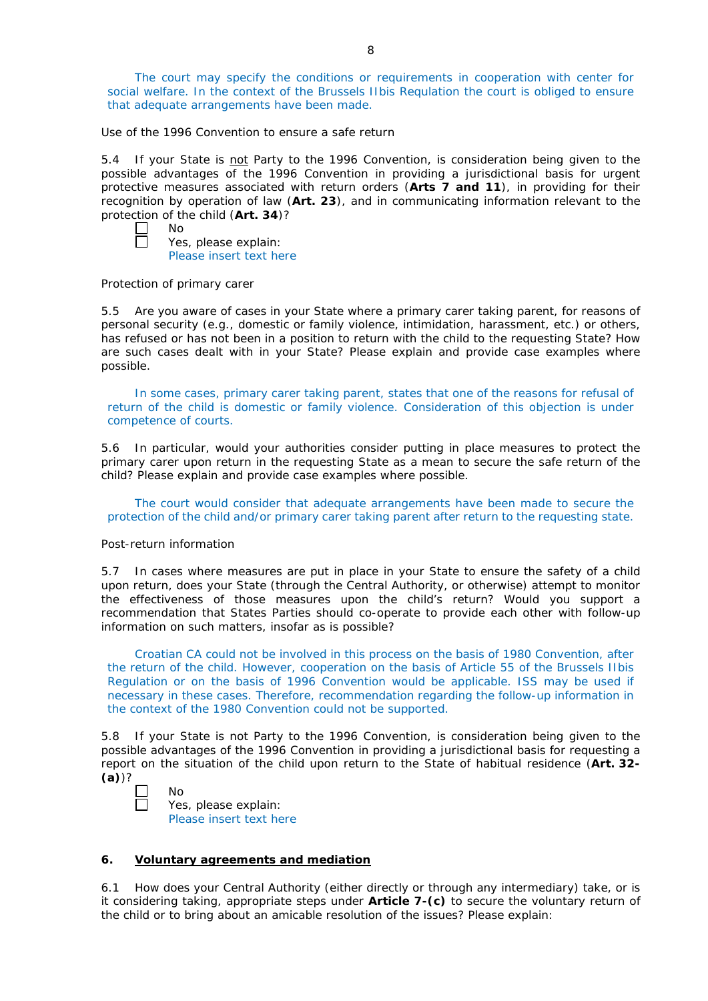The court may specify the conditions or requirements in cooperation with center for social welfare. In the context of the Brussels IIbis Requlation the court is obliged to ensure that adequate arrangements have been made.

*Use of the 1996 Convention to ensure a safe return*

5.4 If your State is not Party to the 1996 Convention, is consideration being given to the possible advantages of the 1996 Convention in providing a jurisdictional basis for urgent protective measures associated with return orders (**Arts 7 and 11**), in providing for their recognition by operation of law (**Art. 23**), and in communicating information relevant to the protection of the child (**Art. 34**)?

 $\Box$ No  $\Box$ 

Yes, please explain: Please insert text here

## *Protection of primary carer*

5.5 Are you aware of cases in your State where a primary carer taking parent, for reasons of personal security (*e.g.*, domestic or family violence, intimidation, harassment, etc.) or others, has refused or has not been in a position to return with the child to the requesting State? How are such cases dealt with in your State? Please explain and provide case examples where possible.

In some cases, primary carer taking parent, states that one of the reasons for refusal of return of the child is domestic or family violence. Consideration of this objection is under competence of courts.

5.6 In particular, would your authorities consider putting in place measures to protect the primary carer upon return in the requesting State as a mean to secure the safe return of the child? Please explain and provide case examples where possible.

The court would consider that adequate arrangements have been made to secure the protection of the child and/or primary carer taking parent after return to the requesting state.

## *Post-return information*

5.7 In cases where measures are put in place in your State to ensure the safety of a child upon return, does your State (through the Central Authority, or otherwise) attempt to monitor the effectiveness of those measures upon the child's return? Would you support a recommendation that States Parties should co-operate to provide each other with follow-up information on such matters, insofar as is possible?

Croatian CA could not be involved in this process on the basis of 1980 Convention, after the return of the child. However, cooperation on the basis of Article 55 of the Brussels IIbis Regulation or on the basis of 1996 Convention would be applicable. ISS may be used if necessary in these cases. Therefore, recommendation regarding the follow-up information in the context of the 1980 Convention could not be supported.

5.8 If your State is not Party to the 1996 Convention, is consideration being given to the possible advantages of the 1996 Convention in providing a jurisdictional basis for requesting a report on the situation of the child upon return to the State of habitual residence (**Art. 32- (a)**)?

| NΩ     |
|--------|
| í<br>⊸ |

Yes, please explain: Please insert text here

# **6. Voluntary agreements and mediation**

6.1 How does your Central Authority (either directly or through any intermediary) take, or is it considering taking, appropriate steps under **Article 7-(c)** to secure the voluntary return of the child or to bring about an amicable resolution of the issues? Please explain: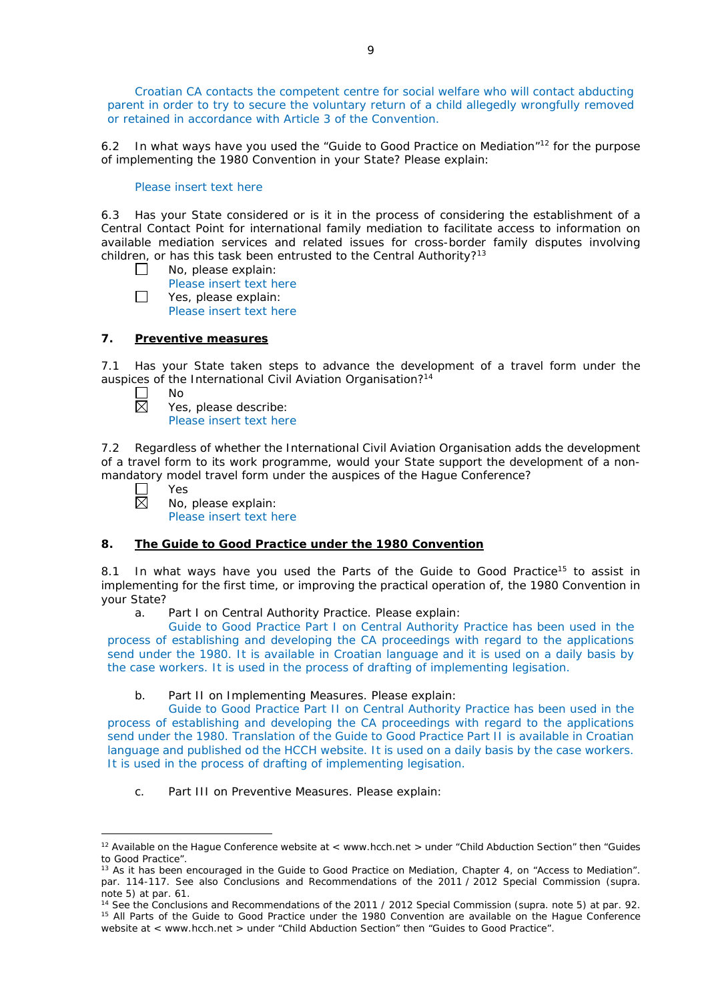Croatian CA contacts the competent centre for social welfare who will contact abducting parent in order to try to secure the voluntary return of a child allegedly wrongfully removed or retained in accordance with Article 3 of the Convention.

6.2 In what ways have you used the "Guide to Good Practice on Mediation"<sup>12</sup> for the purpose of implementing the 1980 Convention in your State? Please explain:

## Please insert text here

6.3 Has your State considered or is it in the process of considering the establishment of a Central Contact Point for international family mediation to facilitate access to information on available mediation services and related issues for cross-border family disputes involving children, or has this task been entrusted to the Central Authority?<sup>13</sup>

- $\Box$ No, please explain:
	- Please insert text here
- $\Box$ Yes, please explain:
	- Please insert text here

## **7. Preventive measures**

7.1 Has your State taken steps to advance the development of a travel form under the auspices of the International Civil Aviation Organisation?<sup>14</sup>

- No 岗
	- Yes, please describe: Please insert text here

7.2 Regardless of whether the International Civil Aviation Organisation adds the development of a travel form to its work programme, would your State support the development of a nonmandatory model travel form under the auspices of the Hague Conference?

 $\Box$ Yes 岗 No, please explain:

Please insert text here

# **8. The Guide to Good Practice under the 1980 Convention**

8.1 In what ways have you used the Parts of the Guide to Good Practice<sup>15</sup> to assist in implementing for the first time, or improving the practical operation of, the 1980 Convention in your State?

a. Part I on Central Authority Practice. Please explain:

Guide to Good Practice Part I on Central Authority Practice has been used in the process of establishing and developing the CA proceedings with regard to the applications send under the 1980. It is available in Croatian language and it is used on a daily basis by the case workers. It is used in the process of drafting of implementing legisation.

# b. Part II on Implementing Measures. Please explain:

Guide to Good Practice Part II on Central Authority Practice has been used in the process of establishing and developing the CA proceedings with regard to the applications send under the 1980. Translation of the Guide to Good Practice Part II is available in Croatian language and published od the HCCH website. It is used on a daily basis by the case workers. It is used in the process of drafting of implementing legisation.

c. Part III on Preventive Measures. Please explain:

<sup>&</sup>lt;u>.</u> <sup>12</sup> Available on the Hague Conference website at < www.hcch.net > under "Child Abduction Section" then "Guides to Good Practice".

<sup>&</sup>lt;sup>13</sup> As it has been encouraged in the Guide to Good Practice on Mediation, Chapter 4, on "Access to Mediation". par. 114-117. See also [Conclusions and Recommendations of the 2011](https://assets.hcch.net/upload/wop/concl28sc6_e.pdf) / 2012 Special Commission (*supra.* note 5) at par. 61.

<sup>14</sup> See the [Conclusions and Recommendations of the 2011](https://assets.hcch.net/upload/wop/concl28sc6_e.pdf) / 2012 Special Commission (*supra.* note 5) at par. 92. <sup>15</sup> All Parts of the Guide to Good Practice under the 1980 Convention are available on the Hague Conference website at < www.hcch.net > under "Child Abduction Section" then "Guides to Good Practice".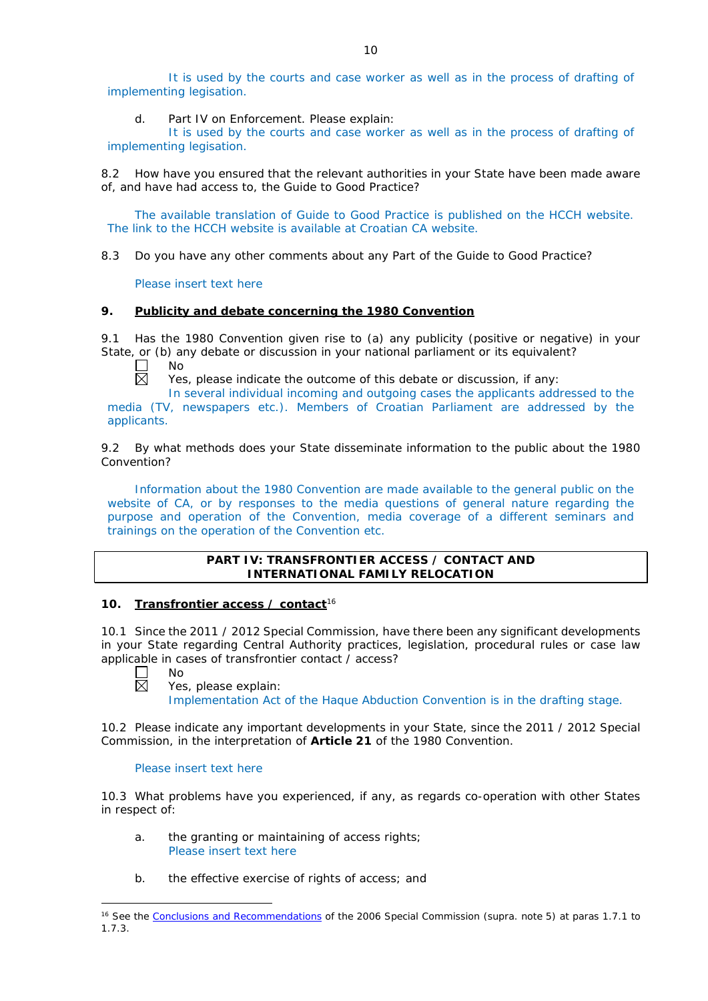It is used by the courts and case worker as well as in the process of drafting of implementing legisation.

d. Part IV on Enforcement. Please explain:

It is used by the courts and case worker as well as in the process of drafting of implementing legisation.

8.2 How have you ensured that the relevant authorities in your State have been made aware of, and have had access to, the Guide to Good Practice?

The available translation of Guide to Good Practice is published on the HCCH website. The link to the HCCH website is available at Croatian CA website.

8.3 Do you have any other comments about any Part of the Guide to Good Practice?

Please insert text here

#### **9. Publicity and debate concerning the 1980 Convention**

9.1 Has the 1980 Convention given rise to (a) any publicity (positive or negative) in your State, or (b) any debate or discussion in your national parliament or its equivalent?

No 反

Yes, please indicate the outcome of this debate or discussion, if any:

In several individual incoming and outgoing cases the applicants addressed to the media (TV, newspapers etc.). Members of Croatian Parliament are addressed by the applicants.

9.2 By what methods does your State disseminate information to the public about the 1980 Convention?

Information about the 1980 Convention are made available to the general public on the website of CA, or by responses to the media questions of general nature regarding the purpose and operation of the Convention, media coverage of a different seminars and trainings on the operation of the Convention etc.

## **PART IV: TRANSFRONTIER ACCESS / CONTACT AND INTERNATIONAL FAMILY RELOCATION**

## **10. Transfrontier access / contact**<sup>16</sup>

10.1 Since the 2011 / 2012 Special Commission, have there been any significant developments in your State regarding Central Authority practices, legislation, procedural rules or case law applicable in cases of transfrontier contact / access?

П 岗

-

 $N<sub>0</sub>$ Yes, please explain: Implementation Act of the Haque Abduction Convention is in the drafting stage.

10.2 Please indicate any important developments in your State, since the 2011 / 2012 Special Commission, in the interpretation of **Article 21** of the 1980 Convention.

#### Please insert text here

10.3 What problems have you experienced, if any, as regards co-operation with other States in respect of:

- a. the granting or maintaining of access rights; Please insert text here
- b. the effective exercise of rights of access; and

<sup>&</sup>lt;sup>16</sup> See the [Conclusions and Recommendations](https://assets.hcch.net/upload/concl28sc5_e.pdf) of the 2006 Special Commission (*supra*. note 5) at paras 1.7.1 to 1.7.3.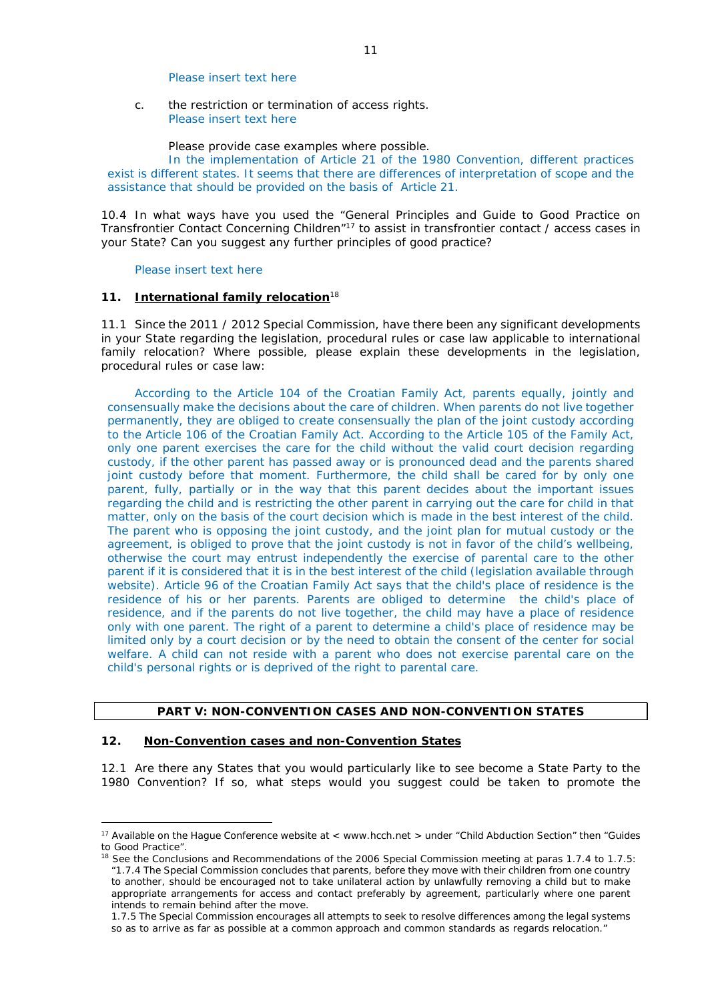#### Please insert text here

c. the restriction or termination of access rights. Please insert text here

Please provide case examples where possible.

In the implementation of Article 21 of the 1980 Convention, different practices exist is different states. It seems that there are differences of interpretation of scope and the assistance that should be provided on the basis of Article 21.

10.4 In what ways have you used the "General Principles and Guide to Good Practice on Transfrontier Contact Concerning Children"17 to assist in transfrontier contact / access cases in your State? Can you suggest any further principles of good practice?

#### Please insert text here

#### **11. International family relocation**<sup>18</sup>

11.1 Since the 2011 / 2012 Special Commission, have there been any significant developments in your State regarding the legislation, procedural rules or case law applicable to international family relocation? Where possible, please explain these developments in the legislation, procedural rules or case law:

According to the Article 104 of the Croatian Family Act, parents equally, jointly and consensually make the decisions about the care of children. When parents do not live together permanently, they are obliged to create consensually the plan of the joint custody according to the Article 106 of the Croatian Family Act. According to the Article 105 of the Family Act, only one parent exercises the care for the child without the valid court decision regarding custody, if the other parent has passed away or is pronounced dead and the parents shared joint custody before that moment. Furthermore, the child shall be cared for by only one parent, fully, partially or in the way that this parent decides about the important issues regarding the child and is restricting the other parent in carrying out the care for child in that matter, only on the basis of the court decision which is made in the best interest of the child. The parent who is opposing the joint custody, and the joint plan for mutual custody or the agreement, is obliged to prove that the joint custody is not in favor of the child's wellbeing. otherwise the court may entrust independently the exercise of parental care to the other parent if it is considered that it is in the best interest of the child (legislation available through website). Article 96 of the Croatian Family Act says that the child's place of residence is the residence of his or her parents. Parents are obliged to determine the child's place of residence, and if the parents do not live together, the child may have a place of residence only with one parent. The right of a parent to determine a child's place of residence may be limited only by a court decision or by the need to obtain the consent of the center for social welfare. A child can not reside with a parent who does not exercise parental care on the child's personal rights or is deprived of the right to parental care.

## **PART V: NON-CONVENTION CASES AND NON-CONVENTION STATES**

### **12. Non-Convention cases and non-Convention States**

<u>.</u>

12.1 Are there any States that you would particularly like to see become a State Party to the 1980 Convention? If so, what steps would you suggest could be taken to promote the

<sup>&</sup>lt;sup>17</sup> Available on the Hague Conference website at < www.hcch.net > under "Child Abduction Section" then "Guides" to Good Practice".

<sup>&</sup>lt;sup>18</sup> See the Conclusions and Recommendations of the 2006 Special Commission meeting at paras 1.7.4 to 1.7.5: *"*1.7.4 The Special Commission concludes that parents, before they move with their children from one country to another, should be encouraged not to take unilateral action by unlawfully removing a child but to make appropriate arrangements for access and contact preferably by agreement, particularly where one parent intends to remain behind after the move.

<sup>1.7.5</sup> The Special Commission encourages all attempts to seek to resolve differences among the legal systems so as to arrive as far as possible at a common approach and common standards as regards relocation."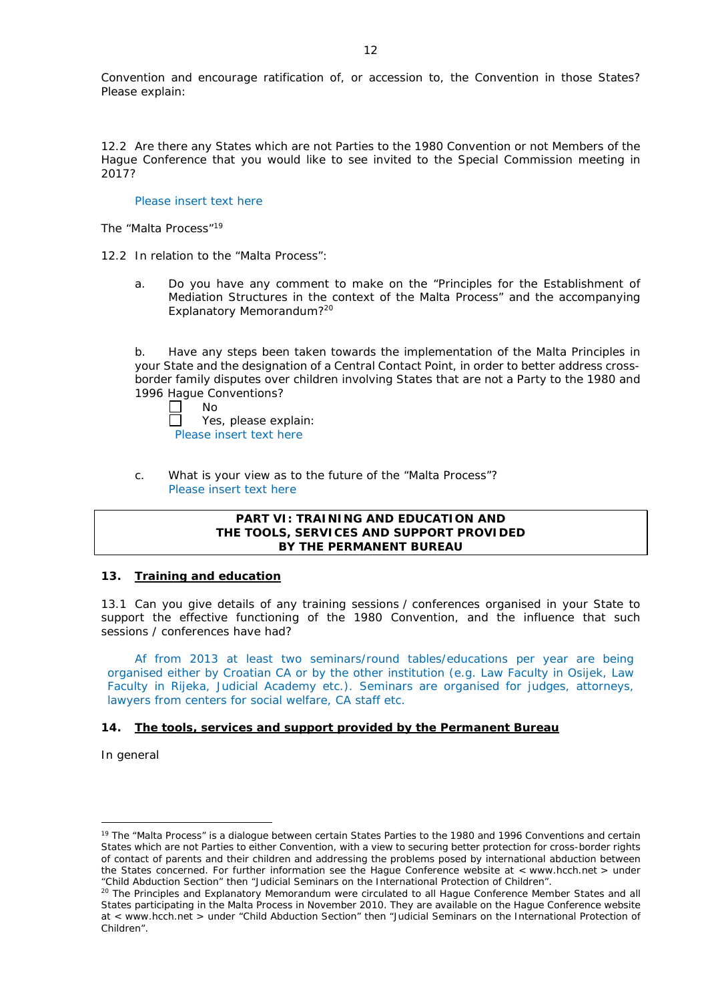Convention and encourage ratification of, or accession to, the Convention in those States? Please explain:

12.2 Are there any States which are not Parties to the 1980 Convention or not Members of the Hague Conference that you would like to see invited to the Special Commission meeting in 2017?

Please insert text here

*The "Malta Process"*<sup>19</sup>

12.2 In relation to the "Malta Process":

a. Do you have any comment to make on the "Principles for the Establishment of Mediation Structures in the context of the Malta Process" and the accompanying Explanatory Memorandum?20

b. Have any steps been taken towards the implementation of the Malta Principles in your State and the designation of a Central Contact Point, in order to better address crossborder family disputes over children involving States that are not a Party to the 1980 and 1996 Hague Conventions?

| $\Box$ | Nο                      |
|--------|-------------------------|
| $\Box$ | Yes, please explain:    |
|        | Please insert text here |

c. What is your view as to the future of the "Malta Process"? Please insert text here

## **PART VI: TRAINING AND EDUCATION AND THE TOOLS, SERVICES AND SUPPORT PROVIDED BY THE PERMANENT BUREAU**

## **13. Training and education**

13.1 Can you give details of any training sessions / conferences organised in your State to support the effective functioning of the 1980 Convention, and the influence that such sessions / conferences have had?

Af from 2013 at least two seminars/round tables/educations per year are being organised either by Croatian CA or by the other institution (e.g. Law Faculty in Osijek, Law Faculty in Rijeka, Judicial Academy etc.). Seminars are organised for judges, attorneys, lawyers from centers for social welfare, CA staff etc.

# **14. The tools, services and support provided by the Permanent Bureau**

*In general*

<u>.</u>

<sup>&</sup>lt;sup>19</sup> The "Malta Process" is a dialogue between certain States Parties to the 1980 and 1996 Conventions and certain States which are not Parties to either Convention, with a view to securing better protection for cross-border rights of contact of parents and their children and addressing the problems posed by international abduction between the States concerned. For further information see the Hague Conference website at < www.hcch.net > under "Child Abduction Section" then "Judicial Seminars on the International Protection of Children".

<sup>&</sup>lt;sup>20</sup> The Principles and Explanatory Memorandum were circulated to all Hague Conference Member States and all States participating in the Malta Process in November 2010. They are available on the Hague Conference website at < www.hcch.net > under "Child Abduction Section" then "Judicial Seminars on the International Protection of Children".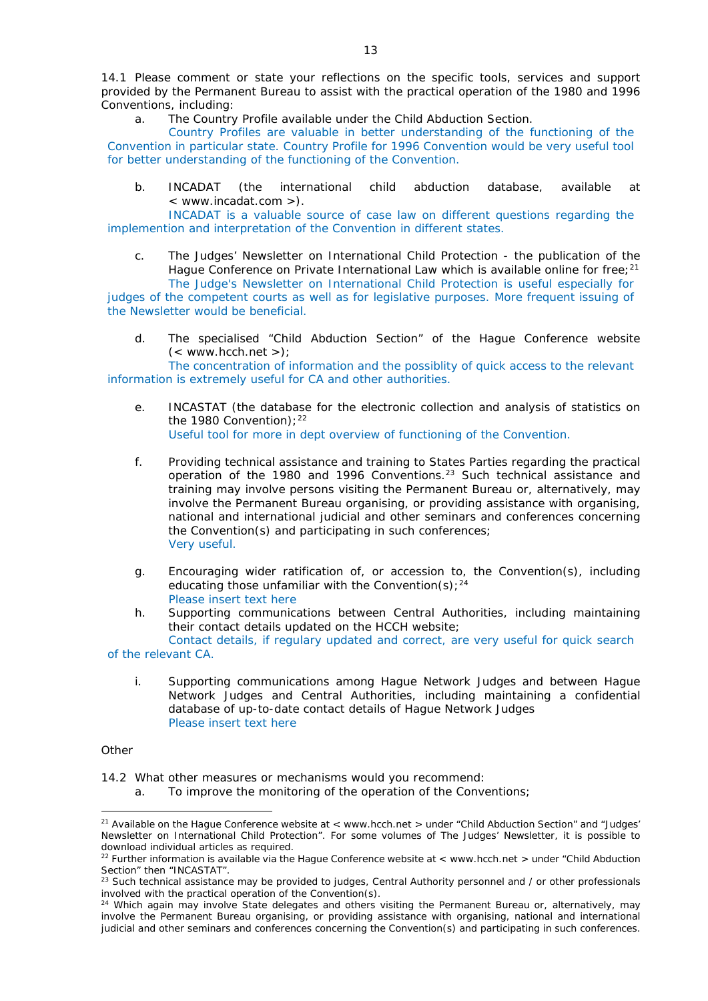14.1 Please comment or state your reflections on the specific tools, services and support provided by the Permanent Bureau to assist with the practical operation of the 1980 and 1996 Conventions, including:

a. The Country Profile available under the Child Abduction Section.

Country Profiles are valuable in better understanding of the functioning of the Convention in particular state. Country Profile for 1996 Convention would be very useful tool for better understanding of the functioning of the Convention.

b. INCADAT (the international child abduction database, available at < www.incadat.com >).

INCADAT is a valuable source of case law on different questions regarding the implemention and interpretation of the Convention in different states.

c. *The Judges' Newsletter* on International Child Protection - the publication of the Hague Conference on Private International Law which is available online for free;<sup>21</sup> The Judge's Newsletter on International Child Protection is useful especially for

judges of the competent courts as well as for legislative purposes. More frequent issuing of the Newsletter would be beneficial.

d. The specialised "Child Abduction Section" of the Hague Conference website  $(<$  www.hcch.net >);

The concentration of information and the possiblity of quick access to the relevant information is extremely useful for CA and other authorities.

- e. INCASTAT (the database for the electronic collection and analysis of statistics on the 1980 Convention);  $22$ Useful tool for more in dept overview of functioning of the Convention.
- f. Providing technical assistance and training to States Parties regarding the practical operation of the 1980 and 1996 Conventions.23 Such technical assistance and training may involve persons visiting the Permanent Bureau or, alternatively, may involve the Permanent Bureau organising, or providing assistance with organising, national and international judicial and other seminars and conferences concerning the Convention(s) and participating in such conferences; Very useful.
- g. Encouraging wider ratification of, or accession to, the Convention(s), including educating those unfamiliar with the Convention(s);  $24$ Please insert text here
- h. Supporting communications between Central Authorities, including maintaining their contact details updated on the HCCH website;

Contact details, if regulary updated and correct, are very useful for quick search of the relevant CA.

i. Supporting communications among Hague Network Judges and between Hague Network Judges and Central Authorities, including maintaining a confidential database of up-to-date contact details of Hague Network Judges Please insert text here

*Other*

<u>.</u>

14.2 What other measures or mechanisms would you recommend:

a. To improve the monitoring of the operation of the Conventions;

<sup>&</sup>lt;sup>21</sup> Available on the Hague Conference website at < www.hcch.net > under "Child Abduction Section" and "Judges' Newsletter on International Child Protection". For some volumes of *The Judges' Newsletter*, it is possible to download individual articles as required.

<sup>&</sup>lt;sup>22</sup> Further information is available via the Hague Conference website at < www.hcch.net > under "Child Abduction" Section" then "INCASTAT".

 $^{23}$  Such technical assistance may be provided to judges, Central Authority personnel and / or other professionals involved with the practical operation of the Convention(s).

<sup>&</sup>lt;sup>24</sup> Which again may involve State delegates and others visiting the Permanent Bureau or, alternatively, may involve the Permanent Bureau organising, or providing assistance with organising, national and international judicial and other seminars and conferences concerning the Convention(s) and participating in such conferences.